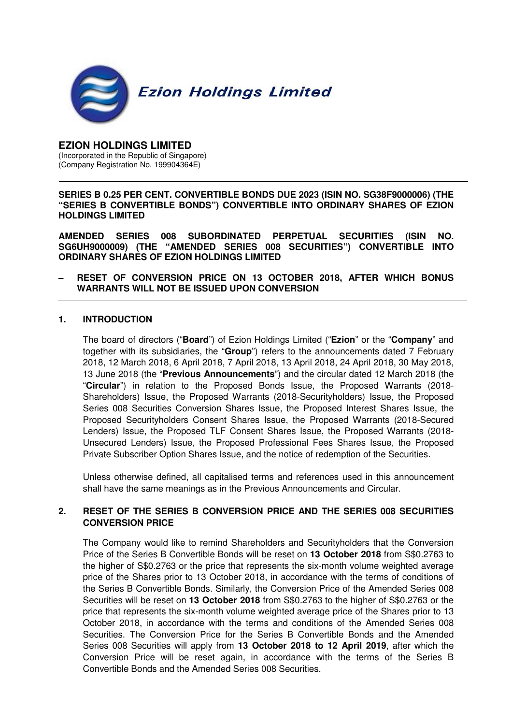

#### **EZION HOLDINGS LIMITED**  (Incorporated in the Republic of Singapore) (Company Registration No. 199904364E)

**SERIES B 0.25 PER CENT. CONVERTIBLE BONDS DUE 2023 (ISIN NO. SG38F9000006) (THE "SERIES B CONVERTIBLE BONDS") CONVERTIBLE INTO ORDINARY SHARES OF EZION HOLDINGS LIMITED** 

**AMENDED SERIES 008 SUBORDINATED PERPETUAL SECURITIES (ISIN NO. SG6UH9000009) (THE "AMENDED SERIES 008 SECURITIES") CONVERTIBLE INTO ORDINARY SHARES OF EZION HOLDINGS LIMITED** 

**– RESET OF CONVERSION PRICE ON 13 OCTOBER 2018, AFTER WHICH BONUS WARRANTS WILL NOT BE ISSUED UPON CONVERSION** 

#### **1. INTRODUCTION**

The board of directors ("**Board**") of Ezion Holdings Limited ("**Ezion**" or the "**Company**" and together with its subsidiaries, the "**Group**") refers to the announcements dated 7 February 2018, 12 March 2018, 6 April 2018, 7 April 2018, 13 April 2018, 24 April 2018, 30 May 2018, 13 June 2018 (the "**Previous Announcements**") and the circular dated 12 March 2018 (the "**Circular**") in relation to the Proposed Bonds Issue, the Proposed Warrants (2018- Shareholders) Issue, the Proposed Warrants (2018-Securityholders) Issue, the Proposed Series 008 Securities Conversion Shares Issue, the Proposed Interest Shares Issue, the Proposed Securityholders Consent Shares Issue, the Proposed Warrants (2018-Secured Lenders) Issue, the Proposed TLF Consent Shares Issue, the Proposed Warrants (2018- Unsecured Lenders) Issue, the Proposed Professional Fees Shares Issue, the Proposed Private Subscriber Option Shares Issue, and the notice of redemption of the Securities.

Unless otherwise defined, all capitalised terms and references used in this announcement shall have the same meanings as in the Previous Announcements and Circular.

### **2. RESET OF THE SERIES B CONVERSION PRICE AND THE SERIES 008 SECURITIES CONVERSION PRICE**

The Company would like to remind Shareholders and Securityholders that the Conversion Price of the Series B Convertible Bonds will be reset on **13 October 2018** from S\$0.2763 to the higher of S\$0.2763 or the price that represents the six-month volume weighted average price of the Shares prior to 13 October 2018, in accordance with the terms of conditions of the Series B Convertible Bonds. Similarly, the Conversion Price of the Amended Series 008 Securities will be reset on **13 October 2018** from S\$0.2763 to the higher of S\$0.2763 or the price that represents the six-month volume weighted average price of the Shares prior to 13 October 2018, in accordance with the terms and conditions of the Amended Series 008 Securities. The Conversion Price for the Series B Convertible Bonds and the Amended Series 008 Securities will apply from **13 October 2018 to 12 April 2019**, after which the Conversion Price will be reset again, in accordance with the terms of the Series B Convertible Bonds and the Amended Series 008 Securities.